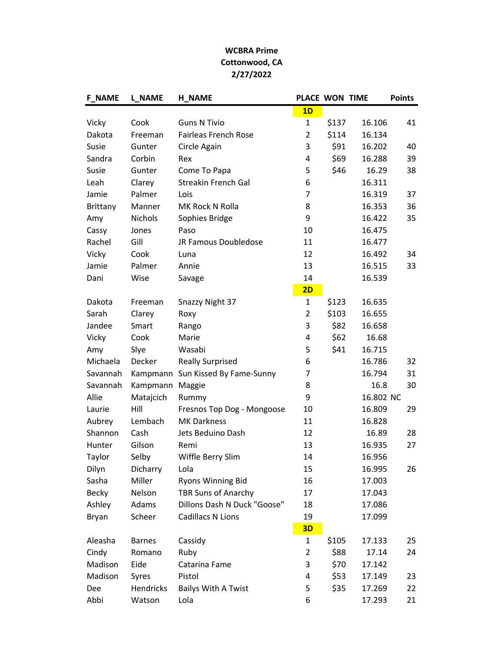## WCBRA Prime Cottonwood, CA 2/27/2022

| <b>F_NAME</b> | <b>L_NAME</b> | <b>H NAME</b>                     | PLACE WON TIME |       |           | <b>Points</b> |
|---------------|---------------|-----------------------------------|----------------|-------|-----------|---------------|
|               |               |                                   | 1D             |       |           |               |
| Vicky         | Cook          | <b>Guns N Tivio</b>               | $\mathbf{1}$   | \$137 | 16.106    | 41            |
| Dakota        | Freeman       | <b>Fairleas French Rose</b>       | $\overline{2}$ | \$114 | 16.134    |               |
| Susie         | Gunter        | Circle Again                      | 3              | \$91  | 16.202    | 40            |
| Sandra        | Corbin        | Rex                               | 4              | \$69  | 16.288    | 39            |
| Susie         | Gunter        | Come To Papa                      | 5              | \$46  | 16.29     | 38            |
| Leah          | Clarey        | <b>Streakin French Gal</b>        | 6              |       | 16.311    |               |
| Jamie         | Palmer        | Lois                              | 7              |       | 16.319    | 37            |
| Brittany      | Manner        | MK Rock N Rolla                   | 8              |       | 16.353    | 36            |
| Amy           | Nichols       | Sophies Bridge                    | 9              |       | 16.422    | 35            |
| Cassy         | Jones         | Paso                              | 10             |       | 16.475    |               |
| Rachel        | Gill          | JR Famous Doubledose              | 11             |       | 16.477    |               |
| Vicky         | Cook          | Luna                              | 12             |       | 16.492    | 34            |
| Jamie         | Palmer        | Annie                             | 13             |       | 16.515    | 33            |
| Dani          | Wise          | Savage                            | 14             |       | 16.539    |               |
|               |               |                                   | 2D             |       |           |               |
| Dakota        | Freeman       | Snazzy Night 37                   | $\mathbf{1}$   | \$123 | 16.635    |               |
| Sarah         | Clarey        | Roxy                              | $\overline{2}$ | \$103 | 16.655    |               |
| Jandee        | Smart         | Rango                             | 3              | \$82  | 16.658    |               |
| Vicky         | Cook          | Marie                             | 4              | \$62  | 16.68     |               |
| Amy           | Slye          | Wasabi                            | 5              | \$41  | 16.715    |               |
| Michaela      | Decker        | <b>Really Surprised</b>           | 6              |       | 16.786    | 32            |
| Savannah      |               | Kampmann Sun Kissed By Fame-Sunny | 7              |       | 16.794    | 31            |
| Savannah      | Kampmann      | Maggie                            | 8              |       | 16.8      | 30            |
| Allie         | Matajcich     | Rummy                             | 9              |       | 16.802 NC |               |
| Laurie        | Hill          | Fresnos Top Dog - Mongoose        | 10             |       | 16.809    | 29            |
| Aubrey        | Lembach       | <b>MK Darkness</b>                | 11             |       | 16.828    |               |
| Shannon       | Cash          | Jets Beduino Dash                 | 12             |       | 16.89     | 28            |
| Hunter        | Gilson        | Remi                              | 13             |       | 16.935    | 27            |
| Taylor        | Selby         | Wiffle Berry Slim                 | 14             |       | 16.956    |               |
| Dilyn         | Dicharry      | Lola                              | 15             |       | 16.995    | 26            |
| Sasha         | Miller        | Ryons Winning Bid                 | 16             |       | 17.003    |               |
| <b>Becky</b>  | Nelson        | <b>TBR Suns of Anarchy</b>        | 17             |       | 17.043    |               |
| Ashley        | Adams         | Dillons Dash N Duck "Goose"       | 18             |       | 17.086    |               |
| Bryan         | Scheer        | <b>Cadillacs N Lions</b>          | 19             |       | 17.099    |               |
|               |               |                                   | 3D             |       |           |               |
| Aleasha       | <b>Barnes</b> | Cassidy                           | $\mathbf{1}$   | \$105 | 17.133    | 25            |
| Cindy         | Romano        | Ruby                              | $\overline{2}$ | \$88  | 17.14     | 24            |
| Madison       | Eide          | Catarina Fame                     | 3              | \$70  | 17.142    |               |
| Madison       | Syres         | Pistol                            | 4              | \$53  | 17.149    | 23            |
| Dee           | Hendricks     | <b>Bailys With A Twist</b>        | 5              | \$35  | 17.269    | 22            |
| Abbi          | Watson        | Lola                              | 6              |       | 17.293    | 21            |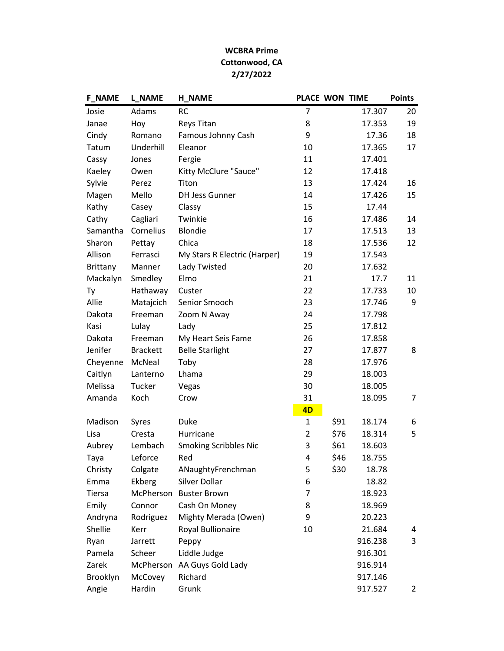## WCBRA Prime Cottonwood, CA 2/27/2022

| <b>F_NAME</b> | <b>L_NAME</b>   | <b>H_NAME</b>                | PLACE WON TIME |      |         | <b>Points</b>  |
|---------------|-----------------|------------------------------|----------------|------|---------|----------------|
| Josie         | Adams           | <b>RC</b>                    | 7              |      | 17.307  | 20             |
| Janae         | Hoy             | <b>Reys Titan</b>            | 8              |      | 17.353  | 19             |
| Cindy         | Romano          | Famous Johnny Cash           | 9              |      | 17.36   | 18             |
| Tatum         | Underhill       | Eleanor                      | 10             |      | 17.365  | 17             |
| Cassy         | Jones           | Fergie                       | 11             |      | 17.401  |                |
| Kaeley        | Owen            | Kitty McClure "Sauce"        | 12             |      | 17.418  |                |
| Sylvie        | Perez           | Titon                        | 13             |      | 17.424  | 16             |
| Magen         | Mello           | <b>DH Jess Gunner</b>        | 14             |      | 17.426  | 15             |
| Kathy         | Casey           | Classy                       | 15             |      | 17.44   |                |
| Cathy         | Cagliari        | Twinkie                      | 16             |      | 17.486  | 14             |
| Samantha      | Cornelius       | Blondie                      | 17             |      | 17.513  | 13             |
| Sharon        | Pettay          | Chica                        | 18             |      | 17.536  | 12             |
| Allison       | Ferrasci        | My Stars R Electric (Harper) | 19             |      | 17.543  |                |
| Brittany      | Manner          | Lady Twisted                 | 20             |      | 17.632  |                |
| Mackalyn      | Smedley         | Elmo                         | 21             |      | 17.7    | 11             |
| Ty            | Hathaway        | Custer                       | 22             |      | 17.733  | 10             |
| Allie         | Matajcich       | Senior Smooch                | 23             |      | 17.746  | 9              |
| Dakota        | Freeman         | Zoom N Away                  | 24             |      | 17.798  |                |
| Kasi          | Lulay           | Lady                         | 25             |      | 17.812  |                |
| Dakota        | Freeman         | My Heart Seis Fame           | 26             |      | 17.858  |                |
| Jenifer       | <b>Brackett</b> | <b>Belle Starlight</b>       | 27             |      | 17.877  | 8              |
| Cheyenne      | McNeal          | Toby                         | 28             |      | 17.976  |                |
| Caitlyn       | Lanterno        | Lhama                        | 29             |      | 18.003  |                |
| Melissa       | Tucker          | Vegas                        | 30             |      | 18.005  |                |
| Amanda        | Koch            | Crow                         | 31             |      | 18.095  | $\overline{7}$ |
|               |                 |                              | 4D             |      |         |                |
| Madison       | Syres           | Duke                         | $\mathbf{1}$   | \$91 | 18.174  | 6              |
| Lisa          | Cresta          | Hurricane                    | $\overline{2}$ | \$76 | 18.314  | 5              |
| Aubrey        | Lembach         | <b>Smoking Scribbles Nic</b> | 3              | \$61 | 18.603  |                |
| Taya          | Leforce         | Red                          | 4              | \$46 | 18.755  |                |
| Christy       | Colgate         | ANaughtyFrenchman            | 5              | \$30 | 18.78   |                |
| Emma          | Ekberg          | Silver Dollar                | 6              |      | 18.82   |                |
| <b>Tiersa</b> | McPherson       | <b>Buster Brown</b>          | 7              |      | 18.923  |                |
| Emily         | Connor          | Cash On Money                | 8              |      | 18.969  |                |
| Andryna       | Rodriguez       | Mighty Merada (Owen)         | 9              |      | 20.223  |                |
| Shellie       | Kerr            | Royal Bullionaire            | 10             |      | 21.684  | 4              |
| Ryan          | Jarrett         | Peppy                        |                |      | 916.238 | 3              |
| Pamela        | Scheer          | Liddle Judge                 |                |      | 916.301 |                |
| Zarek         | McPherson       | AA Guys Gold Lady            |                |      | 916.914 |                |
| Brooklyn      | McCovey         | Richard                      |                |      | 917.146 |                |
| Angie         | Hardin          | Grunk                        |                |      | 917.527 | $\overline{2}$ |